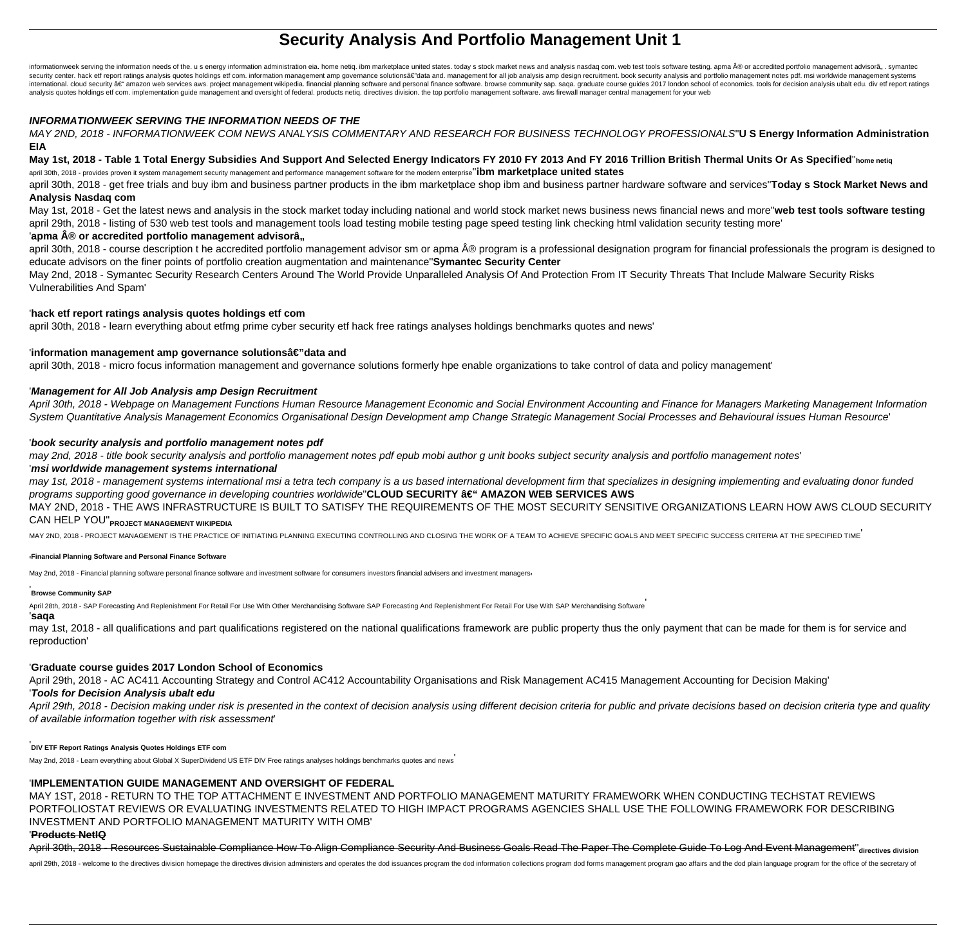# **Security Analysis And Portfolio Management Unit 1**

informationweek serving the information needs of the. u s energy information administration eia. home netiq. ibm marketplace united states. today s stock market news and analysis nasdaq com. web test tools software testing security center, hack etf report ratings analysis quotes holdings etf com, information management amp governance solutionsa e"data and, management for all iob analysis amp design recruitment, book security analysis and por international, cloud security at anazon web services aws, project management wikipedia, financial planning software and personal finance software. browse community sap, saga, graduate course quides 2017 london school of ec analysis quotes holdings etf com. implementation guide management and oversight of federal. products netiq. directives division. the top portfolio management software. aws firewall manager central management for your web

### **INFORMATIONWEEK SERVING THE INFORMATION NEEDS OF THE**

MAY 2ND, 2018 - INFORMATIONWEEK COM NEWS ANALYSIS COMMENTARY AND RESEARCH FOR BUSINESS TECHNOLOGY PROFESSIONALS''**U S Energy Information Administration EIA**

# **May 1st, 2018 - Table 1 Total Energy Subsidies And Support And Selected Energy Indicators FY 2010 FY 2013 And FY 2016 Trillion British Thermal Units Or As Specified**''**home netiq**

april 30th, 2018 - provides proven it system management security management and performance management software for the modern enterprise''**ibm marketplace united states**

april 30th, 2018 - get free trials and buy ibm and business partner products in the ibm marketplace shop ibm and business partner hardware software and services''**Today s Stock Market News and Analysis Nasdaq com**

May 1st, 2018 - Get the latest news and analysis in the stock market today including national and world stock market news business news financial news and more''**web test tools software testing** april 29th, 2018 - listing of 530 web test tools and management tools load testing mobile testing page speed testing link checking html validation security testing more'

# 'apma ® or accredited portfolio management advisorâ..

april 30th, 2018 - course description the accredited portfolio management advisor sm or apma ® program is a professional designation program for financial professionals the program is designed to educate advisors on the finer points of portfolio creation augmentation and maintenance''**Symantec Security Center**

May 2nd, 2018 - Symantec Security Research Centers Around The World Provide Unparalleled Analysis Of And Protection From IT Security Threats That Include Malware Security Risks Vulnerabilities And Spam'

### '**hack etf report ratings analysis quotes holdings etf com**

april 30th, 2018 - learn everything about etfmg prime cyber security etf hack free ratings analyses holdings benchmarks quotes and news'

### 'information management amp governance solutionsâ€"data and

april 30th, 2018 - micro focus information management and governance solutions formerly hpe enable organizations to take control of data and policy management'

### '**Management for All Job Analysis amp Design Recruitment**

April 30th, 2018 - Webpage on Management Functions Human Resource Management Economic and Social Environment Accounting and Finance for Managers Marketing Management Information System Quantitative Analysis Management Economics Organisational Design Development amp Change Strategic Management Social Processes and Behavioural issues Human Resource'

### '**book security analysis and portfolio management notes pdf**

may 2nd, 2018 - title book security analysis and portfolio management notes pdf epub mobi author g unit books subject security analysis and portfolio management notes'

### '**msi worldwide management systems international**

may 1st, 2018 - management systems international msi a tetra tech company is a us based international development firm that specializes in designing implementing and evaluating donor funded programs supporting good governance in developing countries worldwide"**CLOUD SECURITY â€**" AMAZON WEB SERVICES AWS

MAY 2ND, 2018 - THE AWS INFRASTRUCTURE IS BUILT TO SATISFY THE REQUIREMENTS OF THE MOST SECURITY SENSITIVE ORGANIZATIONS LEARN HOW AWS CLOUD SECURITY CAN HELP YOU''**PROJECT MANAGEMENT WIKIPEDIA**

MAY 2ND, 2018 - PROJECT MANAGEMENT IS THE PRACTICE OF INITIATING PLANNING EXECUTING CONTROLLING AND CLOSING THE WORK OF A TEAM TO ACHIEVE SPECIFIC GOALS AND MEET SPECIFIC SUCCESS CRITERIA AT THE SPECIFIED TIME'

#### '**Financial Planning Software and Personal Finance Software**

May 2nd, 2018 - Financial planning software personal finance software and investment software for consumers investors financial advisers and investment managers

#### '**Browse Community SAP**

April 28th, 2018 - SAP Forecasting And Replenishment For Retail For Use With Other Merchandising Software SAP Forecasting And Replenishment For Retail For Use With SAP Merchandising Software

# '**saqa**

may 1st, 2018 - all qualifications and part qualifications registered on the national qualifications framework are public property thus the only payment that can be made for them is for service and reproduction'

# '**Graduate course guides 2017 London School of Economics**

April 29th, 2018 - AC AC411 Accounting Strategy and Control AC412 Accountability Organisations and Risk Management AC415 Management Accounting for Decision Making' '**Tools for Decision Analysis ubalt edu**

April 29th, 2018 - Decision making under risk is presented in the context of decision analysis using different decision criteria for public and private decisions based on decision criteria type and quality of available information together with risk assessment'

# '**DIV ETF Report Ratings Analysis Quotes Holdings ETF com**

May 2nd, 2018 - Learn everything about Global X SuperDividend US ETF DIV Free ratings analyses holdings benchmarks quotes and news'

# '**IMPLEMENTATION GUIDE MANAGEMENT AND OVERSIGHT OF FEDERAL**

MAY 1ST, 2018 - RETURN TO THE TOP ATTACHMENT E INVESTMENT AND PORTFOLIO MANAGEMENT MATURITY FRAMEWORK WHEN CONDUCTING TECHSTAT REVIEWS PORTFOLIOSTAT REVIEWS OR EVALUATING INVESTMENTS RELATED TO HIGH IMPACT PROGRAMS AGENCIES SHALL USE THE FOLLOWING FRAMEWORK FOR DESCRIBING INVESTMENT AND PORTFOLIO MANAGEMENT MATURITY WITH OMB'

# '**Products NetIQ**

April 30th, 2018 - Resources Sustainable Compliance How To Align Compliance Security And Business Goals Read The Paper The Complete Guide To Log And Event Management''**directives division**

april 29th, 2018 - welcome to the directives division homepage the directives division administers and operates the dod issuances program the dod information collections program dod forms management program gao affairs and